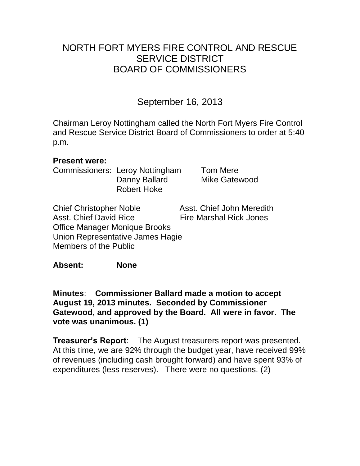# NORTH FORT MYERS FIRE CONTROL AND RESCUE SERVICE DISTRICT BOARD OF COMMISSIONERS

# September 16, 2013

Chairman Leroy Nottingham called the North Fort Myers Fire Control and Rescue Service District Board of Commissioners to order at 5:40 p.m.

### **Present were:**

Commissioners: Leroy Nottingham Tom Mere Danny Ballard Mike Gatewood Robert Hoke

Chief Christopher Noble Asst. Chief John Meredith Asst. Chief David Rice **Fire Marshal Rick Jones** Office Manager Monique Brooks Union Representative James Hagie Members of the Public

**Absent: None**

**Minutes**: **Commissioner Ballard made a motion to accept August 19, 2013 minutes. Seconded by Commissioner Gatewood, and approved by the Board. All were in favor. The vote was unanimous. (1)** 

**Treasurer's Report**: The August treasurers report was presented. At this time, we are 92% through the budget year, have received 99% of revenues (including cash brought forward) and have spent 93% of expenditures (less reserves). There were no questions. (2)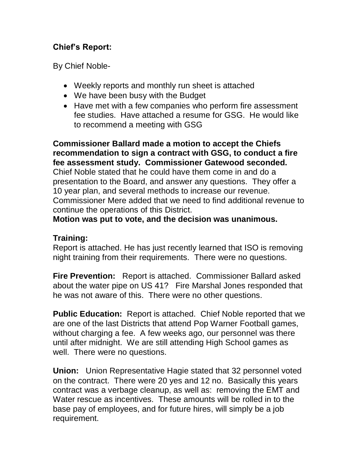## **Chief's Report:**

By Chief Noble-

- Weekly reports and monthly run sheet is attached
- We have been busy with the Budget
- Have met with a few companies who perform fire assessment fee studies. Have attached a resume for GSG. He would like to recommend a meeting with GSG

**Commissioner Ballard made a motion to accept the Chiefs recommendation to sign a contract with GSG, to conduct a fire fee assessment study. Commissioner Gatewood seconded.**  Chief Noble stated that he could have them come in and do a presentation to the Board, and answer any questions. They offer a 10 year plan, and several methods to increase our revenue. Commissioner Mere added that we need to find additional revenue to continue the operations of this District.

**Motion was put to vote, and the decision was unanimous.** 

## **Training:**

Report is attached. He has just recently learned that ISO is removing night training from their requirements. There were no questions.

**Fire Prevention:** Report is attached. Commissioner Ballard asked about the water pipe on US 41? Fire Marshal Jones responded that he was not aware of this. There were no other questions.

**Public Education:** Report is attached. Chief Noble reported that we are one of the last Districts that attend Pop Warner Football games, without charging a fee. A few weeks ago, our personnel was there until after midnight. We are still attending High School games as well. There were no questions.

**Union:** Union Representative Hagie stated that 32 personnel voted on the contract. There were 20 yes and 12 no. Basically this years contract was a verbage cleanup, as well as: removing the EMT and Water rescue as incentives. These amounts will be rolled in to the base pay of employees, and for future hires, will simply be a job requirement.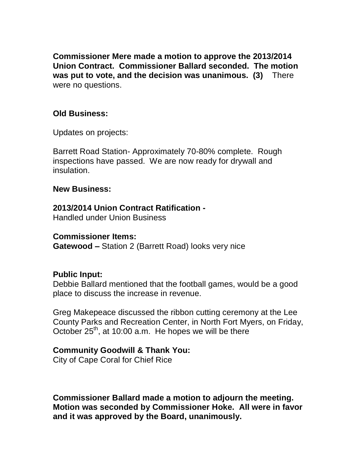**Commissioner Mere made a motion to approve the 2013/2014 Union Contract. Commissioner Ballard seconded. The motion was put to vote, and the decision was unanimous. (3)** There were no questions.

### **Old Business:**

Updates on projects:

Barrett Road Station- Approximately 70-80% complete. Rough inspections have passed. We are now ready for drywall and insulation.

#### **New Business:**

#### **2013/2014 Union Contract Ratification -**

Handled under Union Business

#### **Commissioner Items:**

**Gatewood –** Station 2 (Barrett Road) looks very nice

#### **Public Input:**

Debbie Ballard mentioned that the football games, would be a good place to discuss the increase in revenue.

Greg Makepeace discussed the ribbon cutting ceremony at the Lee County Parks and Recreation Center, in North Fort Myers, on Friday, October  $25<sup>th</sup>$ , at 10:00 a.m. He hopes we will be there

#### **Community Goodwill & Thank You:**

City of Cape Coral for Chief Rice

**Commissioner Ballard made a motion to adjourn the meeting. Motion was seconded by Commissioner Hoke. All were in favor and it was approved by the Board, unanimously.**